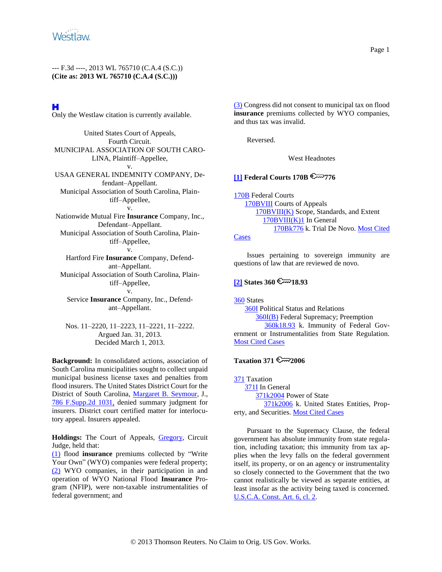# н

Only the Westlaw citation is currently available.

United States Court of Appeals, Fourth Circuit. MUNICIPAL ASSOCIATION OF SOUTH CARO-LINA, Plaintiff–Appellee, v. USAA GENERAL INDEMNITY COMPANY, Defendant–Appellant. Municipal Association of South Carolina, Plaintiff–Appellee, v. Nationwide Mutual Fire **Insurance** Company, Inc., Defendant–Appellant. Municipal Association of South Carolina, Plaintiff–Appellee, v. Hartford Fire **Insurance** Company, Defendant–Appellant. Municipal Association of South Carolina, Plaintiff–Appellee,

v.

Service **Insurance** Company, Inc., Defendant–Appellant.

Nos. 11–2220, 11–2223, 11–2221, 11–2222. Argued Jan. 31, 2013. Decided March 1, 2013.

**Background:** In consolidated actions, association of South Carolina municipalities sought to collect unpaid municipal business license taxes and penalties from flood insurers. The United States District Court for the District of South Carolina, [Margaret B. Seymour,](http://www.westlaw.com/Find/Default.wl?rs=dfa1.0&vr=2.0&DB=WLD-PEOPLECITE&DocName=0105379801&FindType=h) J., [786 F.Supp.2d 1031,](http://www.westlaw.com/Find/Default.wl?rs=dfa1.0&vr=2.0&DB=4637&FindType=Y&SerialNum=2024939548) denied summary judgment for insurers. District court certified matter for interlocutory appeal. Insurers appealed.

Holdings: The Court of Appeals, **Gregory**, Circuit Judge, held that:

[\(1\)](#page-6-0) flood **insurance** premiums collected by "Write Your Own" (WYO) companies were federal property; [\(2\)](#page-7-0) WYO companies, in their participation in and operation of WYO National Flood **Insurance** Program (NFIP), were non-taxable instrumentalities of federal government; and

[\(3\)](#page-8-0) Congress did not consent to municipal tax on flood **insurance** premiums collected by WYO companies, and thus tax was invalid.

Reversed.

West Headnotes

# <span id="page-0-0"></span>**[\[1\]](#page-6-1) Federal Courts 170B @ 776**

[170B](http://www.westlaw.com/KeyNumber/Default.wl?rs=dfa1.0&vr=2.0&CMD=KEY&DocName=170B) Federal Courts [170BVIII](http://www.westlaw.com/KeyNumber/Default.wl?rs=dfa1.0&vr=2.0&CMD=KEY&DocName=170BVIII) Courts of Appeals [170BVIII\(K\)](http://www.westlaw.com/KeyNumber/Default.wl?rs=dfa1.0&vr=2.0&CMD=KEY&DocName=170BVIII%28K%29) Scope, Standards, and Extent [170BVIII\(K\)1](http://www.westlaw.com/KeyNumber/Default.wl?rs=dfa1.0&vr=2.0&CMD=KEY&DocName=170BVIII%28K%291) In General [170Bk776](http://www.westlaw.com/KeyNumber/Default.wl?rs=dfa1.0&vr=2.0&CMD=KEY&DocName=170Bk776) k. Trial De Novo[. Most Cited](http://www.westlaw.com/Digest/Default.wl?rs=dfa1.0&vr=2.0&CMD=MCC&DocName=170Bk776)  **[Cases](http://www.westlaw.com/Digest/Default.wl?rs=dfa1.0&vr=2.0&CMD=MCC&DocName=170Bk776)** 

Issues pertaining to sovereign immunity are questions of law that are reviewed de novo.

# <span id="page-0-1"></span>**[\[2\]](#page-6-2) States 360**  $\mathbb{R}$  18.93

[360](http://www.westlaw.com/KeyNumber/Default.wl?rs=dfa1.0&vr=2.0&CMD=KEY&DocName=360) States

[360I](http://www.westlaw.com/KeyNumber/Default.wl?rs=dfa1.0&vr=2.0&CMD=KEY&DocName=360I) Political Status and Relations [360I\(B\)](http://www.westlaw.com/KeyNumber/Default.wl?rs=dfa1.0&vr=2.0&CMD=KEY&DocName=360I%28B%29) Federal Supremacy; Preemption [360k18.93](http://www.westlaw.com/KeyNumber/Default.wl?rs=dfa1.0&vr=2.0&CMD=KEY&DocName=360k18.93) k. Immunity of Federal Government or Instrumentalities from State Regulation. [Most Cited Cases](http://www.westlaw.com/Digest/Default.wl?rs=dfa1.0&vr=2.0&CMD=MCC&DocName=360k18.93)

## **Taxation 371 2006**

[371](http://www.westlaw.com/KeyNumber/Default.wl?rs=dfa1.0&vr=2.0&CMD=KEY&DocName=371) Taxation [371I](http://www.westlaw.com/KeyNumber/Default.wl?rs=dfa1.0&vr=2.0&CMD=KEY&DocName=371I) In General [371k2004](http://www.westlaw.com/KeyNumber/Default.wl?rs=dfa1.0&vr=2.0&CMD=KEY&DocName=371k2004) Power of State [371k2006](http://www.westlaw.com/KeyNumber/Default.wl?rs=dfa1.0&vr=2.0&CMD=KEY&DocName=371k2006) k. United States Entities, Property, and Securities. [Most Cited Cases](http://www.westlaw.com/Digest/Default.wl?rs=dfa1.0&vr=2.0&CMD=MCC&DocName=371k2006)

Pursuant to the Supremacy Clause, the federal government has absolute immunity from state regulation, including taxation; this immunity from tax applies when the levy falls on the federal government itself, its property, or on an agency or instrumentality so closely connected to the Government that the two cannot realistically be viewed as separate entities, at least insofar as the activity being taxed is concerned. [U.S.C.A. Const. Art. 6, cl. 2.](http://www.westlaw.com/Find/Default.wl?rs=dfa1.0&vr=2.0&DB=1000546&DocName=USCOARTVICL2&FindType=L)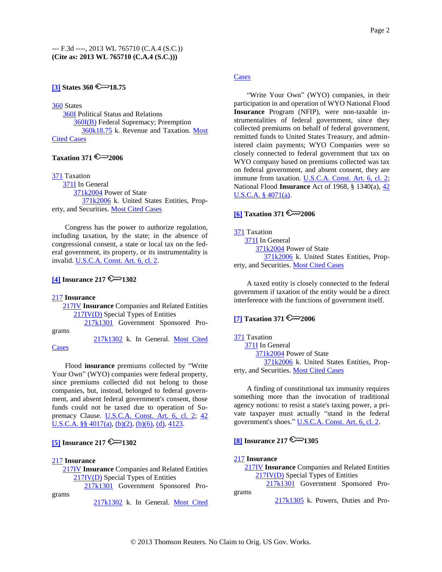# **[\[3\]](#page-6-3) States 360**  $\mathbb{C}$  18.75

[360](http://www.westlaw.com/KeyNumber/Default.wl?rs=dfa1.0&vr=2.0&CMD=KEY&DocName=360) States

[360I](http://www.westlaw.com/KeyNumber/Default.wl?rs=dfa1.0&vr=2.0&CMD=KEY&DocName=360I) Political Status and Relations [360I\(B\)](http://www.westlaw.com/KeyNumber/Default.wl?rs=dfa1.0&vr=2.0&CMD=KEY&DocName=360I%28B%29) Federal Supremacy; Preemption [360k18.75](http://www.westlaw.com/KeyNumber/Default.wl?rs=dfa1.0&vr=2.0&CMD=KEY&DocName=360k18.75) k. Revenue and Taxation. [Most](http://www.westlaw.com/Digest/Default.wl?rs=dfa1.0&vr=2.0&CMD=MCC&DocName=360k18.75)  [Cited Cases](http://www.westlaw.com/Digest/Default.wl?rs=dfa1.0&vr=2.0&CMD=MCC&DocName=360k18.75)

# **Taxation 371 2006**

[371](http://www.westlaw.com/KeyNumber/Default.wl?rs=dfa1.0&vr=2.0&CMD=KEY&DocName=371) Taxation [371I](http://www.westlaw.com/KeyNumber/Default.wl?rs=dfa1.0&vr=2.0&CMD=KEY&DocName=371I) In General [371k2004](http://www.westlaw.com/KeyNumber/Default.wl?rs=dfa1.0&vr=2.0&CMD=KEY&DocName=371k2004) Power of State [371k2006](http://www.westlaw.com/KeyNumber/Default.wl?rs=dfa1.0&vr=2.0&CMD=KEY&DocName=371k2006) k. United States Entities, Property, and Securities. [Most Cited Cases](http://www.westlaw.com/Digest/Default.wl?rs=dfa1.0&vr=2.0&CMD=MCC&DocName=371k2006)

Congress has the power to authorize regulation, including taxation, by the state; in the absence of congressional consent, a state or local tax on the federal government, its property, or its instrumentality is invalid. [U.S.C.A. Const. Art. 6, cl. 2.](http://www.westlaw.com/Find/Default.wl?rs=dfa1.0&vr=2.0&DB=1000546&DocName=USCOARTVICL2&FindType=L)

# <span id="page-1-0"></span>**[\[4\]](#page-6-0) Insurance** 217  $\mathbb{R}$  1302

### [217](http://www.westlaw.com/KeyNumber/Default.wl?rs=dfa1.0&vr=2.0&CMD=KEY&DocName=217) **Insurance**

[217IV](http://www.westlaw.com/KeyNumber/Default.wl?rs=dfa1.0&vr=2.0&CMD=KEY&DocName=217IV) **Insurance** Companies and Related Entities [217IV\(D\)](http://www.westlaw.com/KeyNumber/Default.wl?rs=dfa1.0&vr=2.0&CMD=KEY&DocName=217IV%28D%29) Special Types of Entities

[217k1301](http://www.westlaw.com/KeyNumber/Default.wl?rs=dfa1.0&vr=2.0&CMD=KEY&DocName=217k1301) Government Sponsored Pro-

grams

[Cases](http://www.westlaw.com/Digest/Default.wl?rs=dfa1.0&vr=2.0&CMD=MCC&DocName=217k1302)

[217k1302](http://www.westlaw.com/KeyNumber/Default.wl?rs=dfa1.0&vr=2.0&CMD=KEY&DocName=217k1302) k. In General. [Most Cited](http://www.westlaw.com/Digest/Default.wl?rs=dfa1.0&vr=2.0&CMD=MCC&DocName=217k1302) 

Flood **insurance** premiums collected by "Write Your Own" (WYO) companies were federal property, since premiums collected did not belong to those companies, but, instead, belonged to federal government, and absent federal government's consent, those funds could not be taxed due to operation of Su-premacy Clause. [U.S.C.A. Const. Art. 6, cl. 2;](http://www.westlaw.com/Find/Default.wl?rs=dfa1.0&vr=2.0&DB=1000546&DocName=USCOARTVICL2&FindType=L) 42 [U.S.C.A. §§](http://www.westlaw.com/Find/Default.wl?rs=dfa1.0&vr=2.0&DB=1000546&DocName=42USCAS4017&FindType=L&ReferencePositionType=T&ReferencePosition=SP_8b3b0000958a4) 4017(a), [\(b\)\(2\),](http://www.westlaw.com/Find/Default.wl?rs=dfa1.0&vr=2.0&DB=1000546&DocName=42USCAS4017&FindType=L&ReferencePositionType=T&ReferencePosition=SP_c0ae00006c482) [\(b\)\(6\),](http://www.westlaw.com/Find/Default.wl?rs=dfa1.0&vr=2.0&DB=1000546&DocName=42USCAS4017&FindType=L&ReferencePositionType=T&ReferencePosition=SP_61d20000b6d76) [\(d\),](http://www.westlaw.com/Find/Default.wl?rs=dfa1.0&vr=2.0&DB=1000546&DocName=42USCAS4017&FindType=L&ReferencePositionType=T&ReferencePosition=SP_5ba1000067d06) [4123.](http://www.westlaw.com/Find/Default.wl?rs=dfa1.0&vr=2.0&DB=1000546&DocName=42USCAS4123&FindType=L)

# <span id="page-1-1"></span> $[5]$  **Insurance 217**  $\approx$  1302

### [217](http://www.westlaw.com/KeyNumber/Default.wl?rs=dfa1.0&vr=2.0&CMD=KEY&DocName=217) **Insurance**

grams

[217IV](http://www.westlaw.com/KeyNumber/Default.wl?rs=dfa1.0&vr=2.0&CMD=KEY&DocName=217IV) **Insurance** Companies and Related Entities [217IV\(D\)](http://www.westlaw.com/KeyNumber/Default.wl?rs=dfa1.0&vr=2.0&CMD=KEY&DocName=217IV%28D%29) Special Types of Entities

[217k1301](http://www.westlaw.com/KeyNumber/Default.wl?rs=dfa1.0&vr=2.0&CMD=KEY&DocName=217k1301) Government Sponsored Pro-

[217k1302](http://www.westlaw.com/KeyNumber/Default.wl?rs=dfa1.0&vr=2.0&CMD=KEY&DocName=217k1302) k. In General. Most Cited

## **[Cases](http://www.westlaw.com/Digest/Default.wl?rs=dfa1.0&vr=2.0&CMD=MCC&DocName=217k1302)**

"Write Your Own" (WYO) companies, in their participation in and operation of WYO National Flood **Insurance** Program (NFIP), were non-taxable instrumentalities of federal government, since they collected premiums on behalf of federal government, remitted funds to United States Treasury, and administered claim payments; WYO Companies were so closely connected to federal government that tax on WYO company based on premiums collected was tax on federal government, and absent consent, they are immune from taxation. [U.S.C.A. Const. Art. 6, cl. 2;](http://www.westlaw.com/Find/Default.wl?rs=dfa1.0&vr=2.0&DB=1000546&DocName=USCOARTVICL2&FindType=L) National Flood **Insurance** Act of 1968, § 1340(a), [42](http://www.westlaw.com/Find/Default.wl?rs=dfa1.0&vr=2.0&DB=1000546&DocName=42USCAS4071&FindType=L&ReferencePositionType=T&ReferencePosition=SP_8b3b0000958a4)  [U.S.C.A. § 4071\(a\).](http://www.westlaw.com/Find/Default.wl?rs=dfa1.0&vr=2.0&DB=1000546&DocName=42USCAS4071&FindType=L&ReferencePositionType=T&ReferencePosition=SP_8b3b0000958a4)

## $\boxed{6}$  **Taxation 371**

[371](http://www.westlaw.com/KeyNumber/Default.wl?rs=dfa1.0&vr=2.0&CMD=KEY&DocName=371) Taxation [371I](http://www.westlaw.com/KeyNumber/Default.wl?rs=dfa1.0&vr=2.0&CMD=KEY&DocName=371I) In General

[371k2004](http://www.westlaw.com/KeyNumber/Default.wl?rs=dfa1.0&vr=2.0&CMD=KEY&DocName=371k2004) Power of State [371k2006](http://www.westlaw.com/KeyNumber/Default.wl?rs=dfa1.0&vr=2.0&CMD=KEY&DocName=371k2006) k. United States Entities, Property, and Securities. [Most Cited Cases](http://www.westlaw.com/Digest/Default.wl?rs=dfa1.0&vr=2.0&CMD=MCC&DocName=371k2006)

A taxed entity is closely connected to the federal government if taxation of the entity would be a direct interference with the functions of government itself.

# <span id="page-1-2"></span>**[\[7\]](#page-7-2) Taxation 371 2006**

[371](http://www.westlaw.com/KeyNumber/Default.wl?rs=dfa1.0&vr=2.0&CMD=KEY&DocName=371) Taxation [371I](http://www.westlaw.com/KeyNumber/Default.wl?rs=dfa1.0&vr=2.0&CMD=KEY&DocName=371I) In General [371k2004](http://www.westlaw.com/KeyNumber/Default.wl?rs=dfa1.0&vr=2.0&CMD=KEY&DocName=371k2004) Power of State [371k2006](http://www.westlaw.com/KeyNumber/Default.wl?rs=dfa1.0&vr=2.0&CMD=KEY&DocName=371k2006) k. United States Entities, Property, and Securities. [Most Cited Cases](http://www.westlaw.com/Digest/Default.wl?rs=dfa1.0&vr=2.0&CMD=MCC&DocName=371k2006)

A finding of constitutional tax immunity requires something more than the invocation of traditional agency notions: to resist a state's taxing power, a private taxpayer must actually "stand in the federal government's shoes." [U.S.C.A. Const. Art. 6, cl. 2.](http://www.westlaw.com/Find/Default.wl?rs=dfa1.0&vr=2.0&DB=1000546&DocName=USCOARTVICL2&FindType=L)

# <span id="page-1-3"></span>**[\[8\]](#page-8-0) Insurance**  $217 \, \textcircled{3}$  **1305**

## [217](http://www.westlaw.com/KeyNumber/Default.wl?rs=dfa1.0&vr=2.0&CMD=KEY&DocName=217) **Insurance**

grams

[217IV](http://www.westlaw.com/KeyNumber/Default.wl?rs=dfa1.0&vr=2.0&CMD=KEY&DocName=217IV) **Insurance** Companies and Related Entities [217IV\(D\)](http://www.westlaw.com/KeyNumber/Default.wl?rs=dfa1.0&vr=2.0&CMD=KEY&DocName=217IV%28D%29) Special Types of Entities

[217k1301](http://www.westlaw.com/KeyNumber/Default.wl?rs=dfa1.0&vr=2.0&CMD=KEY&DocName=217k1301) Government Sponsored Pro-

[217k1305](http://www.westlaw.com/KeyNumber/Default.wl?rs=dfa1.0&vr=2.0&CMD=KEY&DocName=217k1305) k. Powers, Duties and Pro-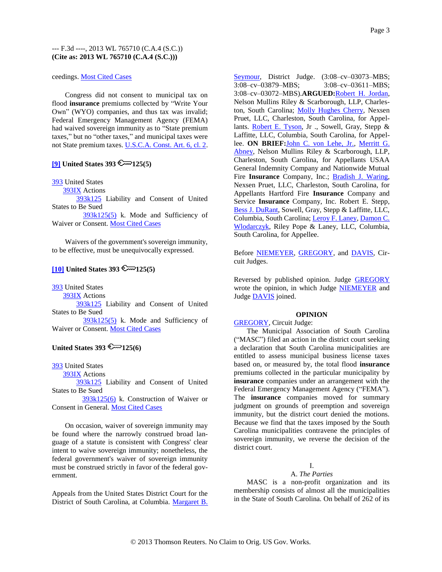### ceedings. [Most Cited Cases](http://www.westlaw.com/Digest/Default.wl?rs=dfa1.0&vr=2.0&CMD=MCC&DocName=217k1305)

Congress did not consent to municipal tax on flood **insurance** premiums collected by "Write Your Own" (WYO) companies, and thus tax was invalid; Federal Emergency Management Agency (FEMA) had waived sovereign immunity as to "State premium taxes," but no "other taxes," and municipal taxes were not State premium taxes. [U.S.C.A. Const. Art. 6, cl. 2.](http://www.westlaw.com/Find/Default.wl?rs=dfa1.0&vr=2.0&DB=1000546&DocName=USCOARTVICL2&FindType=L)

# **[\[9\]](#page-8-1) United States 393**  $\mathbb{R}$   $\mathbb{R}$  125(5)

[393](http://www.westlaw.com/KeyNumber/Default.wl?rs=dfa1.0&vr=2.0&CMD=KEY&DocName=393) United States

[393IX](http://www.westlaw.com/KeyNumber/Default.wl?rs=dfa1.0&vr=2.0&CMD=KEY&DocName=393IX) Actions

[393k125](http://www.westlaw.com/KeyNumber/Default.wl?rs=dfa1.0&vr=2.0&CMD=KEY&DocName=393k125) Liability and Consent of United States to Be Sued

[393k125\(5\)](http://www.westlaw.com/KeyNumber/Default.wl?rs=dfa1.0&vr=2.0&CMD=KEY&DocName=393k125%285%29) k. Mode and Sufficiency of Waiver or Consent. [Most Cited Cases](http://www.westlaw.com/Digest/Default.wl?rs=dfa1.0&vr=2.0&CMD=MCC&DocName=393k125%285%29)

Waivers of the government's sovereign immunity, to be effective, must be unequivocally expressed.

## <span id="page-2-0"></span> $[10]$  United States 393  $\mathbb{R}$  125(5)

[393](http://www.westlaw.com/KeyNumber/Default.wl?rs=dfa1.0&vr=2.0&CMD=KEY&DocName=393) United States

[393IX](http://www.westlaw.com/KeyNumber/Default.wl?rs=dfa1.0&vr=2.0&CMD=KEY&DocName=393IX) Actions

[393k125](http://www.westlaw.com/KeyNumber/Default.wl?rs=dfa1.0&vr=2.0&CMD=KEY&DocName=393k125) Liability and Consent of United States to Be Sued

[393k125\(5\)](http://www.westlaw.com/KeyNumber/Default.wl?rs=dfa1.0&vr=2.0&CMD=KEY&DocName=393k125%285%29) k. Mode and Sufficiency of Waiver or Consent. [Most Cited Cases](http://www.westlaw.com/Digest/Default.wl?rs=dfa1.0&vr=2.0&CMD=MCC&DocName=393k125%285%29)

## United States  $393 \& 125(6)$

[393](http://www.westlaw.com/KeyNumber/Default.wl?rs=dfa1.0&vr=2.0&CMD=KEY&DocName=393) United States

[393IX](http://www.westlaw.com/KeyNumber/Default.wl?rs=dfa1.0&vr=2.0&CMD=KEY&DocName=393IX) Actions

[393k125](http://www.westlaw.com/KeyNumber/Default.wl?rs=dfa1.0&vr=2.0&CMD=KEY&DocName=393k125) Liability and Consent of United States to Be Sued

[393k125\(6\)](http://www.westlaw.com/KeyNumber/Default.wl?rs=dfa1.0&vr=2.0&CMD=KEY&DocName=393k125%286%29) k. Construction of Waiver or Consent in General. [Most Cited Cases](http://www.westlaw.com/Digest/Default.wl?rs=dfa1.0&vr=2.0&CMD=MCC&DocName=393k125%286%29)

On occasion, waiver of sovereign immunity may be found where the narrowly construed broad language of a statute is consistent with Congress' clear intent to waive sovereign immunity; nonetheless, the federal government's waiver of sovereign immunity must be construed strictly in favor of the federal government.

Appeals from the United States District Court for the District of South Carolina, at Columbia. [Margaret B.](http://www.westlaw.com/Find/Default.wl?rs=dfa1.0&vr=2.0&DB=WLD-PEOPLECITE&DocName=0105379801&FindType=h)  [Seymour,](http://www.westlaw.com/Find/Default.wl?rs=dfa1.0&vr=2.0&DB=WLD-PEOPLECITE&DocName=0105379801&FindType=h) District Judge. (3:08–cv–03073–MBS; 3:08–cv–03879–MBS; 3:08–cv–03611–MBS; 3:08–cv–03072–MBS).**ARGUED:**[Robert H. Jordan,](http://www.westlaw.com/Find/Default.wl?rs=dfa1.0&vr=2.0&DB=WLD-PEOPLECITE&DocName=0262705501&FindType=h) Nelson Mullins Riley & Scarborough, LLP, Charleston, South Carolina; [Molly Hughes Cherry,](http://www.westlaw.com/Find/Default.wl?rs=dfa1.0&vr=2.0&DB=WLD-PEOPLECITE&DocName=0301661401&FindType=h) Nexsen Pruet, LLC, Charleston, South Carolina, for Appel-lants. [Robert E. Tyson,](http://www.westlaw.com/Find/Default.wl?rs=dfa1.0&vr=2.0&DB=WLD-PEOPLECITE&DocName=0155746001&FindType=h) Jr., Sowell, Gray, Stepp & Laffitte, LLC, Columbia, South Carolina, for Appellee. **ON BRIEF:**[John C. von Lehe, Jr.,](http://www.westlaw.com/Find/Default.wl?rs=dfa1.0&vr=2.0&DB=WLD-PEOPLECITE&DocName=0138909801&FindType=h) [Merritt G.](http://www.westlaw.com/Find/Default.wl?rs=dfa1.0&vr=2.0&DB=WLD-PEOPLECITE&DocName=0335538501&FindType=h)  [Abney,](http://www.westlaw.com/Find/Default.wl?rs=dfa1.0&vr=2.0&DB=WLD-PEOPLECITE&DocName=0335538501&FindType=h) Nelson Mullins Riley & Scarborough, LLP, Charleston, South Carolina, for Appellants USAA General Indemnity Company and Nationwide Mutual Fire **Insurance** Company, Inc.; [Bradish J. Waring,](http://www.westlaw.com/Find/Default.wl?rs=dfa1.0&vr=2.0&DB=WLD-PEOPLECITE&DocName=0221357801&FindType=h) Nexsen Pruet, LLC, Charleston, South Carolina, for Appellants Hartford Fire **Insurance** Company and Service **Insurance** Company, Inc. Robert E. Stepp, [Bess J. DuRant,](http://www.westlaw.com/Find/Default.wl?rs=dfa1.0&vr=2.0&DB=WLD-PEOPLECITE&DocName=0428957301&FindType=h) Sowell, Gray, Stepp & Laffitte, LLC, Columbia, South Carolina; [Leroy F. Laney,](http://www.westlaw.com/Find/Default.wl?rs=dfa1.0&vr=2.0&DB=WLD-PEOPLECITE&DocName=0319293101&FindType=h) Damon C. [Wlodarczyk,](http://www.westlaw.com/Find/Default.wl?rs=dfa1.0&vr=2.0&DB=WLD-PEOPLECITE&DocName=0361490601&FindType=h) Riley Pope & Laney, LLC, Columbia, South Carolina, for Appellee.

Before [NIEMEYER,](http://www.westlaw.com/Find/Default.wl?rs=dfa1.0&vr=2.0&DB=WLD-PEOPLECITE&DocName=0249206801&FindType=h) [GREGORY,](http://www.westlaw.com/Find/Default.wl?rs=dfa1.0&vr=2.0&DB=WLD-PEOPLECITE&DocName=0110323101&FindType=h) and [DAVIS,](http://www.westlaw.com/Find/Default.wl?rs=dfa1.0&vr=2.0&DB=WLD-PEOPLECITE&DocName=0202939301&FindType=h) Circuit Judges.

Reversed by published opinion. Judge [GREGORY](http://www.westlaw.com/Find/Default.wl?rs=dfa1.0&vr=2.0&DB=WLD-PEOPLECITE&DocName=0110323101&FindType=h) wrote the opinion, in which Judge [NIEMEYER](http://www.westlaw.com/Find/Default.wl?rs=dfa1.0&vr=2.0&DB=WLD-PEOPLECITE&DocName=0249206801&FindType=h) and Judge **DAVIS** joined.

### **OPINION**

## [GREGORY,](http://www.westlaw.com/Find/Default.wl?rs=dfa1.0&vr=2.0&DB=WLD-PEOPLECITE&DocName=0110323101&FindType=h) Circuit Judge:

The Municipal Association of South Carolina ("MASC") filed an action in the district court seeking a declaration that South Carolina municipalities are entitled to assess municipal business license taxes based on, or measured by, the total flood **insurance** premiums collected in the particular municipality by **insurance** companies under an arrangement with the Federal Emergency Management Agency ("FEMA"). The **insurance** companies moved for summary judgment on grounds of preemption and sovereign immunity, but the district court denied the motions. Because we find that the taxes imposed by the South Carolina municipalities contravene the principles of sovereign immunity, we reverse the decision of the district court.

# I.

# A. *The Parties*

MASC is a non-profit organization and its membership consists of almost all the municipalities in the State of South Carolina. On behalf of 262 of its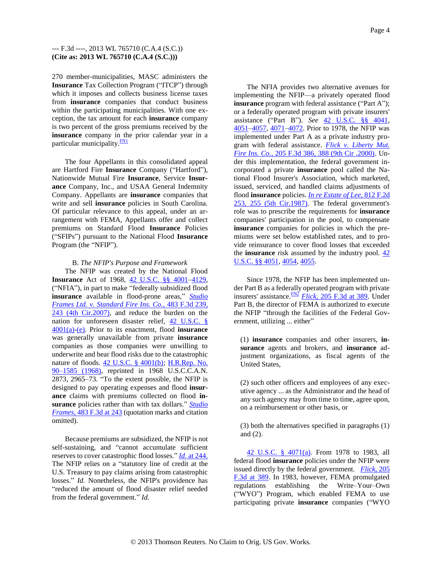270 member-municipalities, MASC administers the **Insurance** Tax Collection Program ("ITCP") through which it imposes and collects business license taxes from **insurance** companies that conduct business within the participating municipalities. With one exception, the tax amount for each **insurance** company is two percent of the gross premiums received by the **insurance** company in the prior calendar year in a particular municipality. $\frac{FN1}{FN}$  $\frac{FN1}{FN}$  $\frac{FN1}{FN}$ 

<span id="page-3-0"></span>The four Appellants in this consolidated appeal are Hartford Fire **Insurance** Company ("Hartford"), Nationwide Mutual Fire **Insurance**, Service **Insurance** Company, Inc., and USAA General Indemnity Company. Appellants are **insurance** companies that write and sell **insurance** policies in South Carolina. Of particular relevance to this appeal, under an arrangement with FEMA, Appellants offer and collect premiums on Standard Flood **Insurance** Policies ("SFIPs") pursuant to the National Flood **Insurance** Program (the "NFIP").

### B. *The NFIP's Purpose and Framework*

The NFIP was created by the National Flood **Insurance** Act of 1968, [42 U.S.C. §§ 4001](http://www.westlaw.com/Find/Default.wl?rs=dfa1.0&vr=2.0&DB=1000546&DocName=42USCAS4001&FindType=L)[–4129,](http://www.westlaw.com/Find/Default.wl?rs=dfa1.0&vr=2.0&DB=1000546&DocName=42USCAS4129&FindType=L) ("NFIA"), in part to make "federally subsidized flood **insurance** available in flood-prone areas," *[Studio](http://www.westlaw.com/Find/Default.wl?rs=dfa1.0&vr=2.0&DB=506&FindType=Y&ReferencePositionType=S&SerialNum=2011928949&ReferencePosition=243)  [Frames Ltd. v. Standard Fire Ins. Co.,](http://www.westlaw.com/Find/Default.wl?rs=dfa1.0&vr=2.0&DB=506&FindType=Y&ReferencePositionType=S&SerialNum=2011928949&ReferencePosition=243)* [483 F.3d 239,](http://www.westlaw.com/Find/Default.wl?rs=dfa1.0&vr=2.0&DB=506&FindType=Y&ReferencePositionType=S&SerialNum=2011928949&ReferencePosition=243)  [243 \(4th Cir.2007\),](http://www.westlaw.com/Find/Default.wl?rs=dfa1.0&vr=2.0&DB=506&FindType=Y&ReferencePositionType=S&SerialNum=2011928949&ReferencePosition=243) and reduce the burden on the nation for unforeseen disaster relief, [42 U.S.C. §](http://www.westlaw.com/Find/Default.wl?rs=dfa1.0&vr=2.0&DB=1000546&DocName=42USCAS4001&FindType=L&ReferencePositionType=T&ReferencePosition=SP_8b3b0000958a4)  [4001\(a\)](http://www.westlaw.com/Find/Default.wl?rs=dfa1.0&vr=2.0&DB=1000546&DocName=42USCAS4001&FindType=L&ReferencePositionType=T&ReferencePosition=SP_8b3b0000958a4)[-\(e\).](http://www.westlaw.com/Find/Default.wl?rs=dfa1.0&vr=2.0&DB=1000546&DocName=42USCAS4001&FindType=L&ReferencePositionType=T&ReferencePosition=SP_7fdd00001ca15) Prior to its enactment, flood **insurance** was generally unavailable from private **insurance** companies as those companies were unwilling to underwrite and bear flood risks due to the catastrophic nature of floods. [42 U.S.C. § 4001\(b\);](http://www.westlaw.com/Find/Default.wl?rs=dfa1.0&vr=2.0&DB=1000546&DocName=42USCAS4001&FindType=L&ReferencePositionType=T&ReferencePosition=SP_a83b000018c76) H.R.Rep. No. [90–1585 \(1968\),](http://www.westlaw.com/Find/Default.wl?rs=dfa1.0&vr=2.0&DB=0100014&FindType=Y&SerialNum=0100859738) reprinted in 1968 U.S.C.C.A.N. 2873, 2965–73. "To the extent possible, the NFIP is designed to pay operating expenses and flood **insurance** claims with premiums collected on flood **insurance** policies rather than with tax dollars." *[Studio](http://www.westlaw.com/Find/Default.wl?rs=dfa1.0&vr=2.0&DB=506&FindType=Y&ReferencePositionType=S&SerialNum=2011928949&ReferencePosition=243)  [Frames,](http://www.westlaw.com/Find/Default.wl?rs=dfa1.0&vr=2.0&DB=506&FindType=Y&ReferencePositionType=S&SerialNum=2011928949&ReferencePosition=243)* [483 F.3d at 243](http://www.westlaw.com/Find/Default.wl?rs=dfa1.0&vr=2.0&DB=506&FindType=Y&ReferencePositionType=S&SerialNum=2011928949&ReferencePosition=243) (quotation marks and citation omitted).

Because premiums are subsidized, the NFIP is not self-sustaining, and "cannot accumulate sufficient reserves to cover catastrophic flood losses." *[Id.](http://www.westlaw.com/Find/Default.wl?rs=dfa1.0&vr=2.0&FindType=Y&SerialNum=2011928949)* [at 244.](http://www.westlaw.com/Find/Default.wl?rs=dfa1.0&vr=2.0&FindType=Y&SerialNum=2011928949) The NFIP relies on a "statutory line of credit at the U.S. Treasury to pay claims arising from catastrophic losses." *Id.* Nonetheless, the NFIP's providence has "reduced the amount of flood disaster relief needed from the federal government." *Id.*

The NFIA provides two alternative avenues for implementing the NFIP—a privately operated flood **insurance** program with federal assistance ("Part A"); or a federally operated program with private insurers' assistance ("Part B"). *See* [42 U.S.C. §§ 4041,](http://www.westlaw.com/Find/Default.wl?rs=dfa1.0&vr=2.0&DB=1000546&DocName=42USCAS4041&FindType=L) [4051](http://www.westlaw.com/Find/Default.wl?rs=dfa1.0&vr=2.0&DB=1000546&DocName=42USCAS4051&FindType=L)[–4057,](http://www.westlaw.com/Find/Default.wl?rs=dfa1.0&vr=2.0&DB=1000546&DocName=42USCAS4057&FindType=L) [4071](http://www.westlaw.com/Find/Default.wl?rs=dfa1.0&vr=2.0&DB=1000546&DocName=42USCAS4071&FindType=L)[–4072.](http://www.westlaw.com/Find/Default.wl?rs=dfa1.0&vr=2.0&DB=1000546&DocName=42USCAS4072&FindType=L) Prior to 1978, the NFIP was implemented under Part A as a private industry program with federal assistance. *[Flick v. Liberty Mut.](http://www.westlaw.com/Find/Default.wl?rs=dfa1.0&vr=2.0&DB=506&FindType=Y&ReferencePositionType=S&SerialNum=2000053855&ReferencePosition=388)  [Fire Ins. Co.,](http://www.westlaw.com/Find/Default.wl?rs=dfa1.0&vr=2.0&DB=506&FindType=Y&ReferencePositionType=S&SerialNum=2000053855&ReferencePosition=388)* [205 F.3d 386, 388 \(9th Cir .2000\).](http://www.westlaw.com/Find/Default.wl?rs=dfa1.0&vr=2.0&DB=506&FindType=Y&ReferencePositionType=S&SerialNum=2000053855&ReferencePosition=388) Under this implementation, the federal government incorporated a private **insurance** pool called the National Flood Insurer's Association, which marketed, issued, serviced, and handled claims adjustments of flood **insurance** policies. *[In re Estate of Lee,](http://www.westlaw.com/Find/Default.wl?rs=dfa1.0&vr=2.0&DB=350&FindType=Y&ReferencePositionType=S&SerialNum=1987026635&ReferencePosition=255)* [812 F.2d](http://www.westlaw.com/Find/Default.wl?rs=dfa1.0&vr=2.0&DB=350&FindType=Y&ReferencePositionType=S&SerialNum=1987026635&ReferencePosition=255)  [253, 255 \(5th Cir.1987\).](http://www.westlaw.com/Find/Default.wl?rs=dfa1.0&vr=2.0&DB=350&FindType=Y&ReferencePositionType=S&SerialNum=1987026635&ReferencePosition=255) The federal government's role was to prescribe the requirements for **insurance** companies' participation in the pool, to compensate **insurance** companies for policies in which the premiums were set below established rates, and to provide reinsurance to cover flood losses that exceeded the **insurance** risk assumed by the industry pool. [42](http://www.westlaw.com/Find/Default.wl?rs=dfa1.0&vr=2.0&DB=1000546&DocName=42USCAS4051&FindType=L)  [U.S.C. §§ 4051,](http://www.westlaw.com/Find/Default.wl?rs=dfa1.0&vr=2.0&DB=1000546&DocName=42USCAS4051&FindType=L) [4054,](http://www.westlaw.com/Find/Default.wl?rs=dfa1.0&vr=2.0&DB=1000546&DocName=42USCAS4054&FindType=L) [4055.](http://www.westlaw.com/Find/Default.wl?rs=dfa1.0&vr=2.0&DB=1000546&DocName=42USCAS4055&FindType=L)

<span id="page-3-1"></span>Since 1978, the NFIP has been implemented under Part B as a federally operated program with private insurers' assistance.[FN2](#page-9-0) *[Flick,](http://www.westlaw.com/Find/Default.wl?rs=dfa1.0&vr=2.0&DB=506&FindType=Y&ReferencePositionType=S&SerialNum=2000053855&ReferencePosition=389)* [205 F.3d at 389.](http://www.westlaw.com/Find/Default.wl?rs=dfa1.0&vr=2.0&DB=506&FindType=Y&ReferencePositionType=S&SerialNum=2000053855&ReferencePosition=389) Under Part B, the director of FEMA is authorized to execute the NFIP "through the facilities of the Federal Government, utilizing ... either"

(1) **insurance** companies and other insurers, **insurance** agents and brokers, and **insurance** adjustment organizations, as fiscal agents of the United States,

(2) such other officers and employees of any executive agency ... as the Administrator and the head of any such agency may from time to time, agree upon, on a reimbursement or other basis, or

(3) both the alternatives specified in paragraphs (1) and (2).

[42 U.S.C. § 4071\(a\).](http://www.westlaw.com/Find/Default.wl?rs=dfa1.0&vr=2.0&DB=1000546&DocName=42USCAS4071&FindType=L&ReferencePositionType=T&ReferencePosition=SP_8b3b0000958a4) From 1978 to 1983, all federal flood **insurance** policies under the NFIP were issued directly by the federal government. *[Flick,](http://www.westlaw.com/Find/Default.wl?rs=dfa1.0&vr=2.0&DB=506&FindType=Y&ReferencePositionType=S&SerialNum=2000053855&ReferencePosition=389)* [205](http://www.westlaw.com/Find/Default.wl?rs=dfa1.0&vr=2.0&DB=506&FindType=Y&ReferencePositionType=S&SerialNum=2000053855&ReferencePosition=389)  [F.3d at 389.](http://www.westlaw.com/Find/Default.wl?rs=dfa1.0&vr=2.0&DB=506&FindType=Y&ReferencePositionType=S&SerialNum=2000053855&ReferencePosition=389) In 1983, however, FEMA promulgated regulations establishing the Write–Your–Own ("WYO") Program, which enabled FEMA to use participating private **insurance** companies ("WYO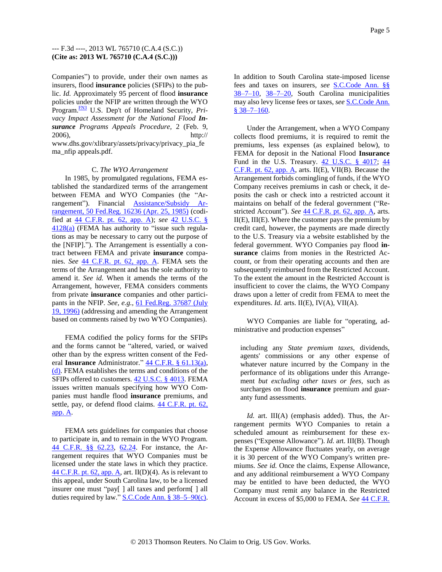<span id="page-4-0"></span>Companies") to provide, under their own names as insurers, flood **insurance** policies (SFIPs) to the public. *Id.* Approximately 95 percent of flood **insurance** policies under the NFIP are written through the WYO Program.<sup>[FN3](#page-9-1)</sup> U.S. Dep't of Homeland Security, *Pri*vacy Impact Assessment for the National Flood In*surance Programs Appeals Procedure,* 2 (Feb. 9, 2006), http:// www.dhs.gov/xlibrary/assets/privacy/privacy\_pia\_fe ma\_nfip appeals.pdf.

### C. *The WYO Arrangement*

In 1985, by promulgated regulations, FEMA established the standardized terms of the arrangement between FEMA and WYO Companies (the "Arrangement"). Financial [Assistance/Subsidy Ar](http://www.westlaw.com/Find/Default.wl?rs=dfa1.0&vr=2.0&DB=1037&FindType=Y&ReferencePositionType=S&SerialNum=0101636837&ReferencePosition=16236)[rangement, 50 Fed.Reg. 16236 \(Apr. 25, 1985\)](http://www.westlaw.com/Find/Default.wl?rs=dfa1.0&vr=2.0&DB=1037&FindType=Y&ReferencePositionType=S&SerialNum=0101636837&ReferencePosition=16236) (codified at [44 C.F.R. pt. 62, app. A\)](http://www.westlaw.com/Find/Default.wl?rs=dfa1.0&vr=2.0&DB=1000547&DocName=44CFRPT62APPA&FindType=L); *see* [42 U.S.C. §](http://www.westlaw.com/Find/Default.wl?rs=dfa1.0&vr=2.0&DB=1000546&DocName=42USCAS4128&FindType=L&ReferencePositionType=T&ReferencePosition=SP_8b3b0000958a4)   $4128(a)$  (FEMA has authority to "issue such regulations as may be necessary to carry out the purpose of the [NFIP]."). The Arrangement is essentially a contract between FEMA and private **insurance** companies. *See* [44 C.F.R. pt. 62, app. A.](http://www.westlaw.com/Find/Default.wl?rs=dfa1.0&vr=2.0&DB=1000547&DocName=44CFRPT62APPA&FindType=L) FEMA sets the terms of the Arrangement and has the sole authority to amend it. *See id.* When it amends the terms of the Arrangement, however, FEMA considers comments from private **insurance** companies and other participants in the NFIP. *See, e.g.,* [61 Fed.Reg. 37687 \(July](http://www.westlaw.com/Find/Default.wl?rs=dfa1.0&vr=2.0&DB=1037&DocName=61FR37687&FindType=Y&ReferencePositionType=S&ReferencePosition=37687)  [19, 1996\)](http://www.westlaw.com/Find/Default.wl?rs=dfa1.0&vr=2.0&DB=1037&DocName=61FR37687&FindType=Y&ReferencePositionType=S&ReferencePosition=37687) (addressing and amending the Arrangement based on comments raised by two WYO Companies).

FEMA codified the policy forms for the SFIPs and the forms cannot be "altered, varied, or waived other than by the express written consent of the Federal **Insurance** Administrator." [44 C.F.R. § 61.13\(a\),](http://www.westlaw.com/Find/Default.wl?rs=dfa1.0&vr=2.0&DB=1000547&DocName=44CFRS61.13&FindType=L&ReferencePositionType=T&ReferencePosition=SP_8b3b0000958a4) [\(d\).](http://www.westlaw.com/Find/Default.wl?rs=dfa1.0&vr=2.0&DB=1000547&DocName=44CFRS61.13&FindType=L&ReferencePositionType=T&ReferencePosition=SP_5ba1000067d06) FEMA establishes the terms and conditions of the SFIPs offered to customers. [42 U.S.C. § 4013.](http://www.westlaw.com/Find/Default.wl?rs=dfa1.0&vr=2.0&DB=1000546&DocName=42USCAS4013&FindType=L) FEMA issues written manuals specifying how WYO Companies must handle flood **insurance** premiums, and settle, pay, or defend flood claims. [44 C.F.R. pt. 62,](http://www.westlaw.com/Find/Default.wl?rs=dfa1.0&vr=2.0&DB=1000547&DocName=44CFRPT62APPA&FindType=L)  [app. A.](http://www.westlaw.com/Find/Default.wl?rs=dfa1.0&vr=2.0&DB=1000547&DocName=44CFRPT62APPA&FindType=L)

FEMA sets guidelines for companies that choose to participate in, and to remain in the WYO Program. [44 C.F.R. §§ 62.23,](http://www.westlaw.com/Find/Default.wl?rs=dfa1.0&vr=2.0&DB=1000547&DocName=44CFRS62.23&FindType=L) [62.24.](http://www.westlaw.com/Find/Default.wl?rs=dfa1.0&vr=2.0&DB=1000547&DocName=44CFRS62.24&FindType=L) For instance, the Arrangement requires that WYO Companies must be licensed under the state laws in which they practice.  $44$  C.F.R. pt. 62, app. A, art. II(D)(4). As is relevant to this appeal, under South Carolina law, to be a licensed insurer one must "pay[ ] all taxes and perform[ ] all duties required by law."  $S.C.Code$  Ann. § 38–5–90(c). In addition to South Carolina state-imposed license fees and taxes on insurers, *see* [S.C.Code Ann. §§](http://www.westlaw.com/Find/Default.wl?rs=dfa1.0&vr=2.0&DB=1001530&DocName=SCSTS38-7-10&FindType=L)  [38–7–10,](http://www.westlaw.com/Find/Default.wl?rs=dfa1.0&vr=2.0&DB=1001530&DocName=SCSTS38-7-10&FindType=L) [38–7–20,](http://www.westlaw.com/Find/Default.wl?rs=dfa1.0&vr=2.0&DB=1001530&DocName=SCSTS38-7-20&FindType=L) South Carolina municipalities may also levy license fees or taxes, *see* [S.C.Code Ann.](http://www.westlaw.com/Find/Default.wl?rs=dfa1.0&vr=2.0&DB=1001530&DocName=SCSTS38-7-160&FindType=L)   $$38-7-160.$ 

Under the Arrangement, when a WYO Company collects flood premiums, it is required to remit the premiums, less expenses (as explained below), to FEMA for deposit in the National Flood **Insurance** Fund in the U.S. Treasury. [42 U.S.C. § 4017;](http://www.westlaw.com/Find/Default.wl?rs=dfa1.0&vr=2.0&DB=1000546&DocName=42USCAS4017&FindType=L) [44](http://www.westlaw.com/Find/Default.wl?rs=dfa1.0&vr=2.0&DB=1000547&DocName=44CFRPT62APPA&FindType=L)  [C.F.R. pt. 62, app. A,](http://www.westlaw.com/Find/Default.wl?rs=dfa1.0&vr=2.0&DB=1000547&DocName=44CFRPT62APPA&FindType=L) arts. II(E), VII(B). Because the Arrangement forbids comingling of funds, if the WYO Company receives premiums in cash or check, it deposits the cash or check into a restricted account it maintains on behalf of the federal government ("Restricted Account"). *See* [44 C.F.R. pt. 62, app. A,](http://www.westlaw.com/Find/Default.wl?rs=dfa1.0&vr=2.0&DB=1000547&DocName=44CFRPT62APPA&FindType=L) arts. II(E), III(E). Where the customer pays the premium by credit card, however, the payments are made directly to the U.S. Treasury via a website established by the federal government. WYO Companies pay flood **insurance** claims from monies in the Restricted Account, or from their operating accounts and then are subsequently reimbursed from the Restricted Account. To the extent the amount in the Restricted Account is insufficient to cover the claims, the WYO Company draws upon a letter of credit from FEMA to meet the expenditures. *Id.* arts. II(E), IV(A), VII(A).

WYO Companies are liable for "operating, administrative and production expenses"

including any *State premium taxes,* dividends, agents' commissions or any other expense of whatever nature incurred by the Company in the performance of its obligations under this Arrangement *but excluding other taxes or fees,* such as surcharges on flood **insurance** premium and guaranty fund assessments.

*Id.* art. III(A) (emphasis added). Thus, the Arrangement permits WYO Companies to retain a scheduled amount as reimbursement for these expenses ("Expense Allowance"). *Id.* art. III(B). Though the Expense Allowance fluctuates yearly, on average it is 30 percent of the WYO Company's written premiums. *See id.* Once the claims, Expense Allowance, and any additional reimbursement a WYO Company may be entitled to have been deducted, the WYO Company must remit any balance in the Restricted Account in excess of \$5,000 to FEMA. *See* [44 C.F.R.](http://www.westlaw.com/Find/Default.wl?rs=dfa1.0&vr=2.0&DB=1000547&DocName=44CFRPT62APPA&FindType=L)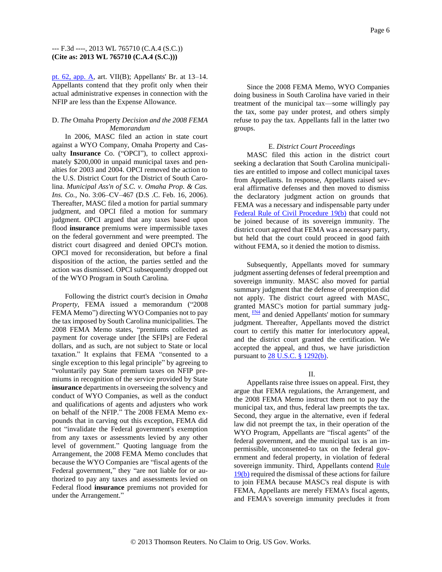[pt. 62, app. A,](http://www.westlaw.com/Find/Default.wl?rs=dfa1.0&vr=2.0&DB=1000547&DocName=44CFRPT62APPA&FindType=L) art. VII(B); Appellants' Br. at 13–14. Appellants contend that they profit only when their actual administrative expenses in connection with the NFIP are less than the Expense Allowance.

### D. *The* Omaha Property *Decision and the 2008 FEMA Memorandum*

In 2006, MASC filed an action in state court against a WYO Company, Omaha Property and Casualty **Insurance** Co. ("OPCI"), to collect approximately \$200,000 in unpaid municipal taxes and penalties for 2003 and 2004. OPCI removed the action to the U.S. District Court for the District of South Carolina. *Municipal Ass'n of S.C. v. Omaha Prop. & Cas. Ins. Co.,* No. 3:06–CV–467 (D.S .C. Feb. 16, 2006). Thereafter, MASC filed a motion for partial summary judgment, and OPCI filed a motion for summary judgment. OPCI argued that any taxes based upon flood **insurance** premiums were impermissible taxes on the federal government and were preempted. The district court disagreed and denied OPCI's motion. OPCI moved for reconsideration, but before a final disposition of the action, the parties settled and the action was dismissed. OPCI subsequently dropped out of the WYO Program in South Carolina.

Following the district court's decision in *Omaha Property,* FEMA issued a memorandum ("2008 FEMA Memo") directing WYO Companies not to pay the tax imposed by South Carolina municipalities. The 2008 FEMA Memo states, "premiums collected as payment for coverage under [the SFIPs] are Federal dollars, and as such, are not subject to State or local taxation." It explains that FEMA "consented to a single exception to this legal principle" by agreeing to "voluntarily pay State premium taxes on NFIP premiums in recognition of the service provided by State **insurance** departments in overseeing the solvency and conduct of WYO Companies, as well as the conduct and qualifications of agents and adjusters who work on behalf of the NFIP." The 2008 FEMA Memo expounds that in carving out this exception, FEMA did not "invalidate the Federal government's exemption from any taxes or assessments levied by any other level of government." Quoting language from the Arrangement, the 2008 FEMA Memo concludes that because the WYO Companies are "fiscal agents of the Federal government," they "are not liable for or authorized to pay any taxes and assessments levied on Federal flood **insurance** premiums not provided for under the Arrangement."

Since the 2008 FEMA Memo, WYO Companies doing business in South Carolina have varied in their treatment of the municipal tax—some willingly pay the tax, some pay under protest, and others simply refuse to pay the tax. Appellants fall in the latter two groups.

### E. *District Court Proceedings*

MASC filed this action in the district court seeking a declaration that South Carolina municipalities are entitled to impose and collect municipal taxes from Appellants. In response, Appellants raised several affirmative defenses and then moved to dismiss the declaratory judgment action on grounds that FEMA was a necessary and indispensable party under [Federal Rule of Civil Procedure 19\(b\)](http://www.westlaw.com/Find/Default.wl?rs=dfa1.0&vr=2.0&DB=1004365&DocName=USFRCPR19&FindType=L) that could not be joined because of its sovereign immunity. The district court agreed that FEMA was a necessary party, but held that the court could proceed in good faith without FEMA, so it denied the motion to dismiss.

<span id="page-5-0"></span>Subsequently, Appellants moved for summary judgment asserting defenses of federal preemption and sovereign immunity. MASC also moved for partial summary judgment that the defense of preemption did not apply. The district court agreed with MASC, granted MASC's motion for partial summary judgment,  $\frac{FN4}{FN4}$  $\frac{FN4}{FN4}$  $\frac{FN4}{FN4}$  and denied Appellants' motion for summary judgment. Thereafter, Appellants moved the district court to certify this matter for interlocutory appeal, and the district court granted the certification. We accepted the appeal, and thus, we have jurisdiction pursuant to [28 U.S.C. § 1292\(b\).](http://www.westlaw.com/Find/Default.wl?rs=dfa1.0&vr=2.0&DB=1000546&DocName=28USCAS1292&FindType=L&ReferencePositionType=T&ReferencePosition=SP_a83b000018c76)

### II.

Appellants raise three issues on appeal. First, they argue that FEMA regulations, the Arrangement, and the 2008 FEMA Memo instruct them not to pay the municipal tax, and thus, federal law preempts the tax. Second, they argue in the alternative, even if federal law did not preempt the tax, in their operation of the WYO Program, Appellants are "fiscal agents" of the federal government, and the municipal tax is an impermissible, unconsented-to tax on the federal government and federal property, in violation of federal sovereign immunity. Third, Appellants contend Rule [19\(b\)](http://www.westlaw.com/Find/Default.wl?rs=dfa1.0&vr=2.0&DB=1004365&DocName=USFRCPR19&FindType=L) required the dismissal of these actions for failure to join FEMA because MASC's real dispute is with FEMA, Appellants are merely FEMA's fiscal agents, and FEMA's sovereign immunity precludes it from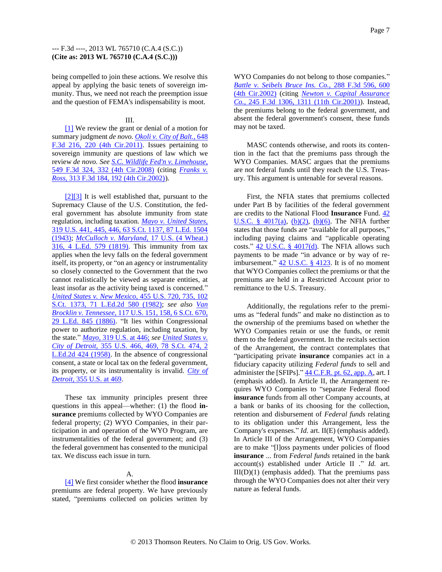being compelled to join these actions. We resolve this appeal by applying the basic tenets of sovereign immunity. Thus, we need not reach the preemption issue and the question of FEMA's indispensability is moot.

#### III.

<span id="page-6-1"></span>[\[1\]](#page-0-0) We review the grant or denial of a motion for summary judgment *de novo. [Okoli v. City of Balt.,](http://www.westlaw.com/Find/Default.wl?rs=dfa1.0&vr=2.0&DB=506&FindType=Y&ReferencePositionType=S&SerialNum=2025832746&ReferencePosition=220)* [648](http://www.westlaw.com/Find/Default.wl?rs=dfa1.0&vr=2.0&DB=506&FindType=Y&ReferencePositionType=S&SerialNum=2025832746&ReferencePosition=220)  [F.3d 216, 220 \(4th Cir.2011\).](http://www.westlaw.com/Find/Default.wl?rs=dfa1.0&vr=2.0&DB=506&FindType=Y&ReferencePositionType=S&SerialNum=2025832746&ReferencePosition=220) Issues pertaining to sovereign immunity are questions of law which we review *de novo. See [S.C. Wildlife Fed'n v. Limehouse,](http://www.westlaw.com/Find/Default.wl?rs=dfa1.0&vr=2.0&DB=506&FindType=Y&ReferencePositionType=S&SerialNum=2017591807&ReferencePosition=332)* [549 F.3d 324, 332 \(4th Cir.2008\)](http://www.westlaw.com/Find/Default.wl?rs=dfa1.0&vr=2.0&DB=506&FindType=Y&ReferencePositionType=S&SerialNum=2017591807&ReferencePosition=332) (citing *[Franks v.](http://www.westlaw.com/Find/Default.wl?rs=dfa1.0&vr=2.0&DB=506&FindType=Y&ReferencePositionType=S&SerialNum=2002760273&ReferencePosition=192)  [Ross,](http://www.westlaw.com/Find/Default.wl?rs=dfa1.0&vr=2.0&DB=506&FindType=Y&ReferencePositionType=S&SerialNum=2002760273&ReferencePosition=192)* [313 F.3d 184, 192 \(4th Cir.2002\)\)](http://www.westlaw.com/Find/Default.wl?rs=dfa1.0&vr=2.0&DB=506&FindType=Y&ReferencePositionType=S&SerialNum=2002760273&ReferencePosition=192).

<span id="page-6-3"></span><span id="page-6-2"></span>[\[2\]\[3\]](#page-0-1) It is well established that, pursuant to the Supremacy Clause of the U.S. Constitution, the federal government has absolute immunity from state regulation, including taxation. *[Mayo v. United States,](http://www.westlaw.com/Find/Default.wl?rs=dfa1.0&vr=2.0&DB=708&FindType=Y&SerialNum=1943120631)* [319 U.S. 441, 445, 446, 63 S.Ct. 1137, 87 L.Ed. 1504](http://www.westlaw.com/Find/Default.wl?rs=dfa1.0&vr=2.0&DB=708&FindType=Y&SerialNum=1943120631)  [\(1943\);](http://www.westlaw.com/Find/Default.wl?rs=dfa1.0&vr=2.0&DB=708&FindType=Y&SerialNum=1943120631) *[McCulloch v. Maryland,](http://www.westlaw.com/Find/Default.wl?rs=dfa1.0&vr=2.0&DB=780&FindType=Y&SerialNum=1800123335)* [17 U.S. \(4 Wheat.\)](http://www.westlaw.com/Find/Default.wl?rs=dfa1.0&vr=2.0&DB=780&FindType=Y&SerialNum=1800123335)  [316, 4 L.Ed. 579 \(1819\).](http://www.westlaw.com/Find/Default.wl?rs=dfa1.0&vr=2.0&DB=780&FindType=Y&SerialNum=1800123335) This immunity from tax applies when the levy falls on the federal government itself, its property, or "on an agency or instrumentality so closely connected to the Government that the two cannot realistically be viewed as separate entities, at least insofar as the activity being taxed is concerned." *[United States v. New Mexico,](http://www.westlaw.com/Find/Default.wl?rs=dfa1.0&vr=2.0&DB=708&FindType=Y&SerialNum=1982113138)* [455 U.S. 720, 735, 102](http://www.westlaw.com/Find/Default.wl?rs=dfa1.0&vr=2.0&DB=708&FindType=Y&SerialNum=1982113138)  [S.Ct. 1373, 71 L.Ed.2d](http://www.westlaw.com/Find/Default.wl?rs=dfa1.0&vr=2.0&DB=708&FindType=Y&SerialNum=1982113138) 580 (1982); *see also [Van](http://www.westlaw.com/Find/Default.wl?rs=dfa1.0&vr=2.0&DB=708&FindType=Y&SerialNum=1886180122)  [Brocklin v. Tennessee,](http://www.westlaw.com/Find/Default.wl?rs=dfa1.0&vr=2.0&DB=708&FindType=Y&SerialNum=1886180122)* [117 U.S. 151, 158, 6 S.Ct. 670,](http://www.westlaw.com/Find/Default.wl?rs=dfa1.0&vr=2.0&DB=708&FindType=Y&SerialNum=1886180122)  [29 L.Ed. 845 \(1886\).](http://www.westlaw.com/Find/Default.wl?rs=dfa1.0&vr=2.0&DB=708&FindType=Y&SerialNum=1886180122) "It lies within Congressional power to authorize regulation, including taxation, by the state." *[Mayo,](http://www.westlaw.com/Find/Default.wl?rs=dfa1.0&vr=2.0&DB=780&FindType=Y&ReferencePositionType=S&SerialNum=1943120631&ReferencePosition=446)* [319 U.S. at 446;](http://www.westlaw.com/Find/Default.wl?rs=dfa1.0&vr=2.0&DB=780&FindType=Y&ReferencePositionType=S&SerialNum=1943120631&ReferencePosition=446) *see [United States v.](http://www.westlaw.com/Find/Default.wl?rs=dfa1.0&vr=2.0&DB=708&FindType=Y&SerialNum=1958121417)  [City of Detroit,](http://www.westlaw.com/Find/Default.wl?rs=dfa1.0&vr=2.0&DB=708&FindType=Y&SerialNum=1958121417)* [355 U.S. 466, 469, 78 S.Ct. 474, 2](http://www.westlaw.com/Find/Default.wl?rs=dfa1.0&vr=2.0&DB=708&FindType=Y&SerialNum=1958121417)  [L.Ed.2d 424 \(1958\).](http://www.westlaw.com/Find/Default.wl?rs=dfa1.0&vr=2.0&DB=708&FindType=Y&SerialNum=1958121417) In the absence of congressional consent, a state or local tax on the federal government, its property, or its instrumentality is invalid. *[City of](http://www.westlaw.com/Find/Default.wl?rs=dfa1.0&vr=2.0&DB=780&FindType=Y&ReferencePositionType=S&SerialNum=1958121417&ReferencePosition=469)  [Detroit,](http://www.westlaw.com/Find/Default.wl?rs=dfa1.0&vr=2.0&DB=780&FindType=Y&ReferencePositionType=S&SerialNum=1958121417&ReferencePosition=469)* [355 U.S. at 469.](http://www.westlaw.com/Find/Default.wl?rs=dfa1.0&vr=2.0&DB=780&FindType=Y&ReferencePositionType=S&SerialNum=1958121417&ReferencePosition=469)

These tax immunity principles present three questions in this appeal—whether: (1) the flood **insurance** premiums collected by WYO Companies are federal property; (2) WYO Companies, in their participation in and operation of the WYO Program, are instrumentalities of the federal government; and (3) the federal government has consented to the municipal tax. We discuss each issue in turn.

## A.

<span id="page-6-0"></span>[\[4\]](#page-1-0) We first consider whether the flood **insurance** premiums are federal property. We have previously stated, "premiums collected on policies written by WYO Companies do not belong to those companies." *[Battle v. Seibels Bruce Ins. Co.,](http://www.westlaw.com/Find/Default.wl?rs=dfa1.0&vr=2.0&DB=506&FindType=Y&ReferencePositionType=S&SerialNum=2002268472&ReferencePosition=600)* [288 F.3d 596, 600](http://www.westlaw.com/Find/Default.wl?rs=dfa1.0&vr=2.0&DB=506&FindType=Y&ReferencePositionType=S&SerialNum=2002268472&ReferencePosition=600)  [\(4th Cir.2002\)](http://www.westlaw.com/Find/Default.wl?rs=dfa1.0&vr=2.0&DB=506&FindType=Y&ReferencePositionType=S&SerialNum=2002268472&ReferencePosition=600) (citing *[Newton v. Capital Assurance](http://www.westlaw.com/Find/Default.wl?rs=dfa1.0&vr=2.0&DB=506&FindType=Y&ReferencePositionType=S&SerialNum=2001260894&ReferencePosition=1311)  [Co.,](http://www.westlaw.com/Find/Default.wl?rs=dfa1.0&vr=2.0&DB=506&FindType=Y&ReferencePositionType=S&SerialNum=2001260894&ReferencePosition=1311)* [245 F.3d 1306, 1311 \(11th Cir.2001\)\)](http://www.westlaw.com/Find/Default.wl?rs=dfa1.0&vr=2.0&DB=506&FindType=Y&ReferencePositionType=S&SerialNum=2001260894&ReferencePosition=1311). Instead, the premiums belong to the federal government, and absent the federal government's consent, these funds may not be taxed.

MASC contends otherwise, and roots its contention in the fact that the premiums pass through the WYO Companies. MASC argues that the premiums are not federal funds until they reach the U.S. Treasury. This argument is untenable for several reasons.

First, the NFIA states that premiums collected under Part B by facilities of the federal government are credits to the National Flood **Insurance** Fund. [42](http://www.westlaw.com/Find/Default.wl?rs=dfa1.0&vr=2.0&DB=1000546&DocName=42USCAS4017&FindType=L&ReferencePositionType=T&ReferencePosition=SP_8b3b0000958a4)  U.S.C. §  $4017(a)$ ,  $(b)(2)$ ,  $(b)(6)$ . The NFIA further states that those funds are "available for all purposes," including paying claims and "applicable operating costs."  $42$  U.S.C. §  $4017(d)$ . The NFIA allows such payments to be made "in advance or by way of reimbursement."  $42$  U.S.C. § 4123. It is of no moment that WYO Companies collect the premiums or that the premiums are held in a Restricted Account prior to remittance to the U.S. Treasury.

Additionally, the regulations refer to the premiums as "federal funds" and make no distinction as to the ownership of the premiums based on whether the WYO Companies retain or use the funds, or remit them to the federal government. In the recitals section of the Arrangement, the contract contemplates that "participating private **insurance** companies act in a fiduciary capacity utilizing *Federal funds* to sell and administer the [SFIPs]."  $44$  C.F.R. pt. 62, app. A, art. I (emphasis added). In Article II, the Arrangement requires WYO Companies to "separate Federal flood **insurance** funds from all other Company accounts, at a bank or banks of its choosing for the collection, retention and disbursement of *Federal funds* relating to its obligation under this Arrangement, less the Company's expenses." *Id.* art. II(E) (emphasis added). In Article III of the Arrangement, WYO Companies are to make "[l]oss payments under policies of flood **insurance** ... from *Federal funds* retained in the bank account(s) established under Article II ." *Id.* art.  $III(D)(1)$  (emphasis added). That the premiums pass through the WYO Companies does not alter their very nature as federal funds.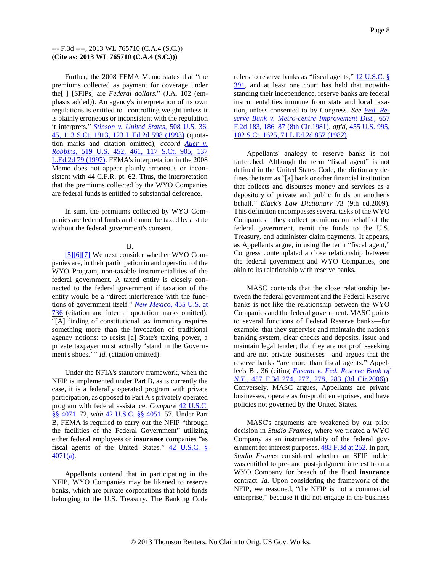Further, the 2008 FEMA Memo states that "the premiums collected as payment for coverage under the[ ] [SFIPs] are *Federal dollars.*" (J.A. 102 (emphasis added)). An agency's interpretation of its own regulations is entitled to "controlling weight unless it is plainly erroneous or inconsistent with the regulation it interprets." *[Stinson v. United States,](http://www.westlaw.com/Find/Default.wl?rs=dfa1.0&vr=2.0&DB=708&FindType=Y&SerialNum=1993095624)* [508 U.S. 36,](http://www.westlaw.com/Find/Default.wl?rs=dfa1.0&vr=2.0&DB=708&FindType=Y&SerialNum=1993095624)  [45, 113 S.Ct. 1913, 123 L.Ed.2d 598 \(1993\)](http://www.westlaw.com/Find/Default.wl?rs=dfa1.0&vr=2.0&DB=708&FindType=Y&SerialNum=1993095624) (quotation marks and citation omitted), *accord [Auer v.](http://www.westlaw.com/Find/Default.wl?rs=dfa1.0&vr=2.0&DB=708&FindType=Y&SerialNum=1997053629)  [Robbins,](http://www.westlaw.com/Find/Default.wl?rs=dfa1.0&vr=2.0&DB=708&FindType=Y&SerialNum=1997053629)* [519 U.S. 452, 461, 117 S.Ct. 905, 137](http://www.westlaw.com/Find/Default.wl?rs=dfa1.0&vr=2.0&DB=708&FindType=Y&SerialNum=1997053629)  [L.Ed.2d 79 \(1997\).](http://www.westlaw.com/Find/Default.wl?rs=dfa1.0&vr=2.0&DB=708&FindType=Y&SerialNum=1997053629) FEMA's interpretation in the 2008 Memo does not appear plainly erroneous or inconsistent with 44 C.F.R. pt. 62. Thus, the interpretation that the premiums collected by the WYO Companies are federal funds is entitled to substantial deference.

In sum, the premiums collected by WYO Companies are federal funds and cannot be taxed by a state without the federal government's consent.

### B.

<span id="page-7-2"></span><span id="page-7-1"></span><span id="page-7-0"></span>[\[5\]\[6\]](#page-1-1)[\[7\]](#page-1-2) We next consider whether WYO Companies are, in their participation in and operation of the WYO Program, non-taxable instrumentalities of the federal government. A taxed entity is closely connected to the federal government if taxation of the entity would be a "direct interference with the functions of government itself." *[New Mexico,](http://www.westlaw.com/Find/Default.wl?rs=dfa1.0&vr=2.0&DB=780&FindType=Y&ReferencePositionType=S&SerialNum=1982113138&ReferencePosition=736)* [455 U.S. at](http://www.westlaw.com/Find/Default.wl?rs=dfa1.0&vr=2.0&DB=780&FindType=Y&ReferencePositionType=S&SerialNum=1982113138&ReferencePosition=736)  [736](http://www.westlaw.com/Find/Default.wl?rs=dfa1.0&vr=2.0&DB=780&FindType=Y&ReferencePositionType=S&SerialNum=1982113138&ReferencePosition=736) (citation and internal quotation marks omitted). "[A] finding of constitutional tax immunity requires something more than the invocation of traditional agency notions: to resist [a] State's taxing power, a private taxpayer must actually 'stand in the Government's shoes.<sup>3</sup> " *Id.* (citation omitted).

Under the NFIA's statutory framework, when the NFIP is implemented under Part B, as is currently the case, it is a federally operated program with private participation, as opposed to Part A's privately operated program with federal assistance. *Compare* [42 U.S.C.](http://www.westlaw.com/Find/Default.wl?rs=dfa1.0&vr=2.0&DB=1000546&DocName=42USCAS4071&FindType=L)  [§§ 4071–](http://www.westlaw.com/Find/Default.wl?rs=dfa1.0&vr=2.0&DB=1000546&DocName=42USCAS4071&FindType=L)72, *with* [42 U.S.C. §§ 4051–](http://www.westlaw.com/Find/Default.wl?rs=dfa1.0&vr=2.0&DB=1000546&DocName=42USCAS4051&FindType=L)57. Under Part B, FEMA is required to carry out the NFIP "through the facilities of the Federal Government" utilizing either federal employees or **insurance** companies "as fiscal agents of the United States."  $42$  U.S.C. § [4071\(a\).](http://www.westlaw.com/Find/Default.wl?rs=dfa1.0&vr=2.0&DB=1000546&DocName=42USCAS4071&FindType=L&ReferencePositionType=T&ReferencePosition=SP_8b3b0000958a4)

Appellants contend that in participating in the NFIP, WYO Companies may be likened to reserve banks, which are private corporations that hold funds belonging to the U.S. Treasury. The Banking Code refers to reserve banks as "fiscal agents," 12 U.S.C. § [391,](http://www.westlaw.com/Find/Default.wl?rs=dfa1.0&vr=2.0&DB=1000546&DocName=12USCAS391&FindType=L) and at least one court has held that notwithstanding their independence, reserve banks are federal instrumentalities immune from state and local taxation, unless consented to by Congress. *See [Fed. Re](http://www.westlaw.com/Find/Default.wl?rs=dfa1.0&vr=2.0&DB=350&FindType=Y&ReferencePositionType=S&SerialNum=1981134342&ReferencePosition=186)[serve Bank v. Metro-centre Improvement Dist.,](http://www.westlaw.com/Find/Default.wl?rs=dfa1.0&vr=2.0&DB=350&FindType=Y&ReferencePositionType=S&SerialNum=1981134342&ReferencePosition=186)* [657](http://www.westlaw.com/Find/Default.wl?rs=dfa1.0&vr=2.0&DB=350&FindType=Y&ReferencePositionType=S&SerialNum=1981134342&ReferencePosition=186)  [F.2d 183, 186–87 \(8th Cir.1981\),](http://www.westlaw.com/Find/Default.wl?rs=dfa1.0&vr=2.0&DB=350&FindType=Y&ReferencePositionType=S&SerialNum=1981134342&ReferencePosition=186) *aff'd,* [455 U.S. 995,](http://www.westlaw.com/Find/Default.wl?rs=dfa1.0&vr=2.0&DB=708&FindType=Y&SerialNum=1982210904)  [102 S.Ct. 1625, 71 L.Ed.2d 857 \(1982\).](http://www.westlaw.com/Find/Default.wl?rs=dfa1.0&vr=2.0&DB=708&FindType=Y&SerialNum=1982210904)

Appellants' analogy to reserve banks is not farfetched. Although the term "fiscal agent" is not defined in the United States Code, the dictionary defines the term as "[a] bank or other financial institution that collects and disburses money and services as a depository of private and public funds on another's behalf." *Black's Law Dictionary* 73 (9th ed.2009). This definition encompasses several tasks of the WYO Companies—they collect premiums on behalf of the federal government, remit the funds to the U.S. Treasury, and administer claim payments. It appears, as Appellants argue, in using the term "fiscal agent," Congress contemplated a close relationship between the federal government and WYO Companies, one akin to its relationship with reserve banks.

MASC contends that the close relationship between the federal government and the Federal Reserve banks is not like the relationship between the WYO Companies and the federal government. MASC points to several functions of Federal Reserve banks—for example, that they supervise and maintain the nation's banking system, clear checks and deposits, issue and maintain legal tender; that they are not profit-seeking and are not private businesses—and argues that the reserve banks "are more than fiscal agents." Appellee's Br. 36 (citing *[Fasano v. Fed. Reserve Bank of](http://www.westlaw.com/Find/Default.wl?rs=dfa1.0&vr=2.0&DB=506&FindType=Y&ReferencePositionType=S&SerialNum=2009673913&ReferencePosition=277)  [N.Y.,](http://www.westlaw.com/Find/Default.wl?rs=dfa1.0&vr=2.0&DB=506&FindType=Y&ReferencePositionType=S&SerialNum=2009673913&ReferencePosition=277)* [457 F.3d 274, 277, 278, 283 \(3d Cir.2006\)\)](http://www.westlaw.com/Find/Default.wl?rs=dfa1.0&vr=2.0&DB=506&FindType=Y&ReferencePositionType=S&SerialNum=2009673913&ReferencePosition=277). Conversely, MASC argues, Appellants are private businesses, operate as for-profit enterprises, and have policies not governed by the United States.

MASC's arguments are weakened by our prior decision in *Studio Frames,* where we treated a WYO Company as an instrumentality of the federal government for interest purposes.  $483 \text{ F} \cdot 3d$  at 252. In part, *Studio Frames* considered whether an SFIP holder was entitled to pre- and post-judgment interest from a WYO Company for breach of the flood **insurance** contract. *Id.* Upon considering the framework of the NFIP, we reasoned, "the NFIP is not a commercial enterprise," because it did not engage in the business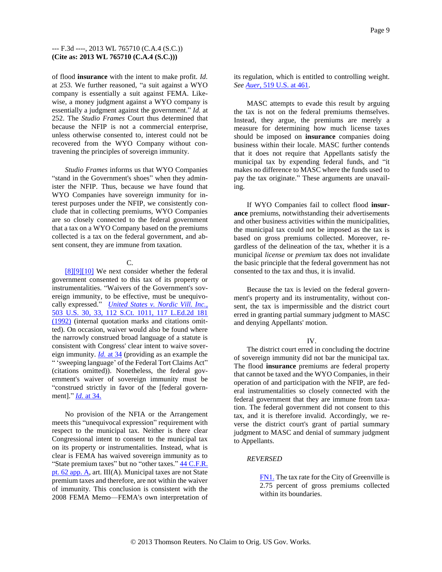of flood **insurance** with the intent to make profit. *Id.* at 253. We further reasoned, "a suit against a WYO company is essentially a suit against FEMA. Likewise, a money judgment against a WYO company is essentially a judgment against the government." *Id.* at 252. The *Studio Frames* Court thus determined that because the NFIP is not a commercial enterprise, unless otherwise consented to, interest could not be recovered from the WYO Company without contravening the principles of sovereign immunity.

*Studio Frames* informs us that WYO Companies "stand in the Government's shoes" when they administer the NFIP. Thus, because we have found that WYO Companies have sovereign immunity for interest purposes under the NFIP, we consistently conclude that in collecting premiums, WYO Companies are so closely connected to the federal government that a tax on a WYO Company based on the premiums collected is a tax on the federal government, and absent consent, they are immune from taxation.

### <span id="page-8-2"></span>C.

<span id="page-8-1"></span><span id="page-8-0"></span>[\[8\]\[9\]](#page-1-3)[\[10\]](#page-2-0) We next consider whether the federal government consented to this tax of its property or instrumentalities. "Waivers of the Government's sovereign immunity, to be effective, must be unequivocally expressed." *[United States v. Nordic Vill. Inc.,](http://www.westlaw.com/Find/Default.wl?rs=dfa1.0&vr=2.0&DB=708&FindType=Y&SerialNum=1992046036)* [503 U.S. 30, 33, 112 S.Ct. 1011, 117 L.Ed.2d 181](http://www.westlaw.com/Find/Default.wl?rs=dfa1.0&vr=2.0&DB=708&FindType=Y&SerialNum=1992046036)  [\(1992\)](http://www.westlaw.com/Find/Default.wl?rs=dfa1.0&vr=2.0&DB=708&FindType=Y&SerialNum=1992046036) (internal quotation marks and citations omitted). On occasion, waiver would also be found where the narrowly construed broad language of a statute is consistent with Congress' clear intent to waive sovereign immunity. *[Id.](http://www.westlaw.com/Find/Default.wl?rs=dfa1.0&vr=2.0&FindType=Y&SerialNum=1992046036)* [at 34](http://www.westlaw.com/Find/Default.wl?rs=dfa1.0&vr=2.0&FindType=Y&SerialNum=1992046036) (providing as an example the " 'sweeping language' of the Federal Tort Claims Act" (citations omitted)). Nonetheless, the federal government's waiver of sovereign immunity must be "construed strictly in favor of the [federal government]." *[Id.](http://www.westlaw.com/Find/Default.wl?rs=dfa1.0&vr=2.0&FindType=Y&SerialNum=1992046036)* [at 34.](http://www.westlaw.com/Find/Default.wl?rs=dfa1.0&vr=2.0&FindType=Y&SerialNum=1992046036)

No provision of the NFIA or the Arrangement meets this "unequivocal expression" requirement with respect to the municipal tax. Neither is there clear Congressional intent to consent to the municipal tax on its property or instrumentalities. Instead, what is clear is FEMA has waived sovereign immunity as to "State premium taxes" but no "other taxes." **44 C.F.R.** [pt. 62 app. A,](http://www.westlaw.com/Find/Default.wl?rs=dfa1.0&vr=2.0&DB=1000547&DocName=44CFRPT62APPA&FindType=L) art. III(A). Municipal taxes are not State premium taxes and therefore, are not within the waiver of immunity. This conclusion is consistent with the 2008 FEMA Memo—FEMA's own interpretation of

its regulation, which is entitled to controlling weight. *See [Auer,](http://www.westlaw.com/Find/Default.wl?rs=dfa1.0&vr=2.0&DB=780&FindType=Y&ReferencePositionType=S&SerialNum=1997053629&ReferencePosition=461)* [519 U.S. at 461.](http://www.westlaw.com/Find/Default.wl?rs=dfa1.0&vr=2.0&DB=780&FindType=Y&ReferencePositionType=S&SerialNum=1997053629&ReferencePosition=461)

MASC attempts to evade this result by arguing the tax is not on the federal premiums themselves. Instead, they argue, the premiums are merely a measure for determining how much license taxes should be imposed on **insurance** companies doing business within their locale. MASC further contends that it does not require that Appellants satisfy the municipal tax by expending federal funds, and "it makes no difference to MASC where the funds used to pay the tax originate." These arguments are unavailing.

If WYO Companies fail to collect flood **insurance** premiums, notwithstanding their advertisements and other business activities within the municipalities, the municipal tax could not be imposed as the tax is based on gross premiums collected. Moreover, regardless of the delineation of the tax, whether it is a municipal *license* or *premium* tax does not invalidate the basic principle that the federal government has not consented to the tax and thus, it is invalid.

Because the tax is levied on the federal government's property and its instrumentality, without consent, the tax is impermissible and the district court erred in granting partial summary judgment to MASC and denying Appellants' motion.

### IV.

The district court erred in concluding the doctrine of sovereign immunity did not bar the municipal tax. The flood **insurance** premiums are federal property that cannot be taxed and the WYO Companies, in their operation of and participation with the NFIP, are federal instrumentalities so closely connected with the federal government that they are immune from taxation. The federal government did not consent to this tax, and it is therefore invalid. Accordingly, we reverse the district court's grant of partial summary judgment to MASC and denial of summary judgment to Appellants.

### *REVERSED*

<span id="page-8-3"></span>[FN1.](#page-3-0) The tax rate for the City of Greenville is 2.75 percent of gross premiums collected within its boundaries.